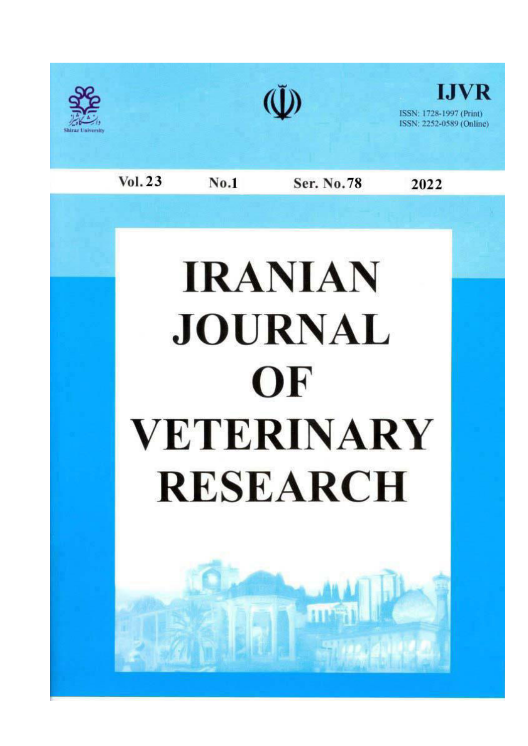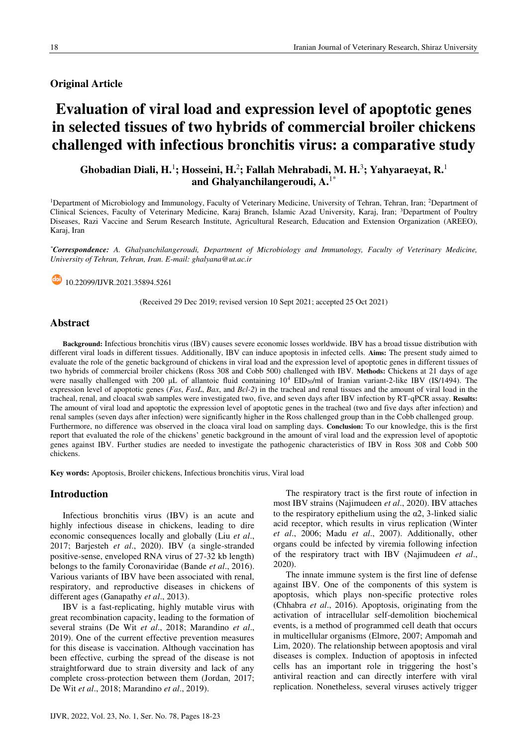## **Original Article**

# Evaluation of viral load and expression level of apoptotic genes in selected tissues of two hybrids of commercial broiler chickens challenged with infectious bronchitis virus: a comparative study

## Ghobadian Diali, H.<sup>1</sup>; Hosseini, H.<sup>2</sup>; Fallah Mehrabadi, M. H.<sup>3</sup>; Yahyaraeyat, R.<sup>1</sup> and Ghalvanchilangeroudi,  $A^{1*}$

<sup>1</sup>Department of Microbiology and Immunology, Faculty of Veterinary Medicine, University of Tehran, Tehran, Iran; <sup>2</sup>Department of Clinical Sciences, Faculty of Veterinary Medicine, Karaj Branch, Islamic Azad University, Karaj, Iran; <sup>3</sup>Department of Poultry Diseases, Razi Vaccine and Serum Research Institute, Agricultural Research, Education and Extension Organization (AREEO), Karaj, Iran

\*Correspondence: A. Ghalyanchilangeroudi, Department of Microbiology and Immunology, Faculty of Veterinary Medicine, University of Tehran, Tehran, Iran, E-mail: ghalyana@ut.ac.ir

10.22099/HVR.2021.35894.5261

(Received 29 Dec 2019; revised version 10 Sept 2021; accepted 25 Oct 2021)

## **Abstract**

Background: Infectious bronchitis virus (IBV) causes severe economic losses worldwide. IBV has a broad tissue distribution with different viral loads in different tissues. Additionally, IBV can induce apoptosis in infected cells. Aims: The present study aimed to evaluate the role of the genetic background of chickens in viral load and the expression level of apoptotic genes in different tissues of two hybrids of commercial broiler chickens (Ross 308 and Cobb 500) challenged with IBV. Methods: Chickens at 21 days of age were nasally challenged with 200 µL of allantoic fluid containing  $10^4$  EID<sub>50</sub>/ml of Iranian variant-2-like IBV (IS/1494). The expression level of apoptotic genes (*Fas*, *FasL*, *Bax*, and *Bcl*-2) in the tracheal and renal tissues and the amount of viral load in the tracheal, renal, and cloacal swab samples were investigated two, five, and seven days after IBV infection by RT-qPCR assay. Results: The amount of viral load and apoptotic the expression level of apoptotic genes in the tracheal (two and five days after infection) and renal samples (seven days after infection) were significantly higher in the Ross challenged group than in the Cobb challenged group. Furthermore, no difference was observed in the cloaca viral load on sampling days. Conclusion: To our knowledge, this is the first report that evaluated the role of the chickens' genetic background in the amount of viral load and the expression level of apoptotic genes against IBV. Further studies are needed to investigate the pathogenic characteristics of IBV in Ross 308 and Cobb 500 chickens

Key words: Apoptosis, Broiler chickens, Infectious bronchitis virus, Viral load

#### **Introduction**

Infectious bronchitis virus (IBV) is an acute and highly infectious disease in chickens, leading to dire economic consequences locally and globally (Liu et al., 2017; Barjesteh et al., 2020). IBV (a single-stranded positive-sense, enveloped RNA virus of 27-32 kb length) belongs to the family Coronaviridae (Bande et al., 2016). Various variants of IBV have been associated with renal, respiratory, and reproductive diseases in chickens of different ages (Ganapathy et al., 2013).

IBV is a fast-replicating, highly mutable virus with great recombination capacity, leading to the formation of several strains (De Wit et al., 2018; Marandino et al., 2019). One of the current effective prevention measures for this disease is vaccination. Although vaccination has been effective, curbing the spread of the disease is not straightforward due to strain diversity and lack of any complete cross-protection between them (Jordan, 2017; De Wit et al., 2018; Marandino et al., 2019).

The respiratory tract is the first route of infection in most IBV strains (Najimudeen et al., 2020). IBV attaches to the respiratory epithelium using the  $\alpha$ 2, 3-linked sialic acid receptor, which results in virus replication (Winter et al., 2006; Madu et al., 2007). Additionally, other organs could be infected by viremia following infection of the respiratory tract with IBV (Najimudeen et al., 2020).

The innate immune system is the first line of defense against IBV. One of the components of this system is apoptosis, which plays non-specific protective roles (Chhabra et al., 2016). Apoptosis, originating from the activation of intracellular self-demolition biochemical events, is a method of programmed cell death that occurs in multicellular organisms (Elmore, 2007; Ampomah and Lim, 2020). The relationship between apoptosis and viral diseases is complex. Induction of apoptosis in infected cells has an important role in triggering the host's antiviral reaction and can directly interfere with viral replication. Nonetheless, several viruses actively trigger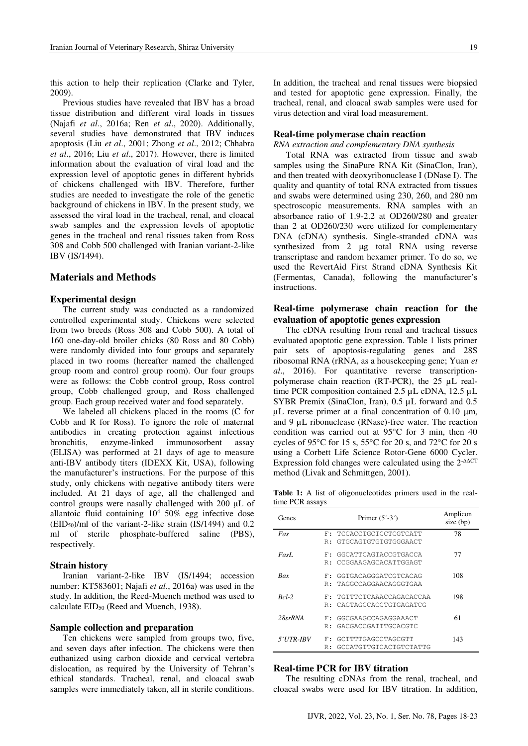this action to help their replication (Clarke and Tyler,  $2009$ ).

Previous studies have revealed that IBV has a broad tissue distribution and different viral loads in tissues (Najafi et al., 2016a; Ren et al., 2020). Additionally, several studies have demonstrated that IBV induces apoptosis (Liu et al., 2001; Zhong et al., 2012; Chhabra et al., 2016; Liu et al., 2017). However, there is limited information about the evaluation of viral load and the expression level of apoptotic genes in different hybrids of chickens challenged with IBV. Therefore, further studies are needed to investigate the role of the genetic background of chickens in IBV. In the present study, we assessed the viral load in the tracheal, renal, and cloacal swab samples and the expression levels of apoptotic genes in the tracheal and renal tissues taken from Ross 308 and Cobb 500 challenged with Iranian variant-2-like IBV (IS/1494).

## **Materials and Methods**

#### **Experimental design**

The current study was conducted as a randomized controlled experimental study. Chickens were selected from two breeds (Ross 308 and Cobb 500). A total of 160 one-day-old broiler chicks (80 Ross and 80 Cobb) were randomly divided into four groups and separately placed in two rooms (hereafter named the challenged group room and control group room). Our four groups were as follows: the Cobb control group, Ross control group, Cobb challenged group, and Ross challenged group. Each group received water and food separately.

We labeled all chickens placed in the rooms (C for Cobb and R for Ross). To ignore the role of maternal antibodies in creating protection against infectious enzyme-linked immunosorbent bronchitis. assay (ELISA) was performed at 21 days of age to measure anti-IBV antibody titers (IDEXX Kit, USA), following the manufacturer's instructions. For the purpose of this study, only chickens with negative antibody titers were included. At 21 days of age, all the challenged and control groups were nasally challenged with 200 µL of allantoic fluid containing  $10^4$  50% egg infective dose  $(EID<sub>50</sub>)/ml$  of the variant-2-like strain (IS/1494) and 0.2 ml of sterile phosphate-buffered saline (PBS), respectively.

#### **Strain history**

Iranian variant-2-like IBV (IS/1494; accession number: KT583601; Najafi et al., 2016a) was used in the study. In addition, the Reed-Muench method was used to calculate EID<sub>50</sub> (Reed and Muench, 1938).

#### Sample collection and preparation

Ten chickens were sampled from groups two, five, and seven days after infection. The chickens were then euthanized using carbon dioxide and cervical vertebra dislocation, as required by the University of Tehran's ethical standards. Tracheal, renal, and cloacal swab samples were immediately taken, all in sterile conditions.

In addition, the tracheal and renal tissues were biopsied and tested for apoptotic gene expression. Finally, the tracheal, renal, and cloacal swab samples were used for virus detection and viral load measurement.

#### Real-time polymerase chain reaction

#### RNA extraction and complementary DNA synthesis

Total RNA was extracted from tissue and swab samples using the SinaPure RNA Kit (SinaClon, Iran), and then treated with deoxyribonuclease I (DNase I). The quality and quantity of total RNA extracted from tissues and swabs were determined using 230, 260, and 280 nm spectroscopic measurements. RNA samples with an absorbance ratio of 1.9-2.2 at OD260/280 and greater than 2 at OD260/230 were utilized for complementary DNA (cDNA) synthesis. Single-stranded cDNA was synthesized from 2 µg total RNA using reverse transcriptase and random hexamer primer. To do so, we used the RevertAid First Strand cDNA Synthesis Kit (Fermentas, Canada), following the manufacturer's instructions.

## Real-time polymerase chain reaction for the evaluation of apoptotic genes expression

The cDNA resulting from renal and tracheal tissues evaluated apoptotic gene expression. Table 1 lists primer pair sets of apoptosis-regulating genes and 28S ribosomal RNA (rRNA, as a housekeeping gene; Yuan et al., 2016). For quantitative reverse transcriptionpolymerase chain reaction (RT-PCR), the 25 µL realtime PCR composition contained 2.5 µL cDNA, 12.5 µL SYBR Premix (SinaClon, Iran), 0.5 µL forward and 0.5  $\mu$ L reverse primer at a final concentration of 0.10  $\mu$ m, and 9 µL ribonuclease (RNase)-free water. The reaction condition was carried out at  $95^{\circ}$ C for 3 min, then 40 cycles of 95 $\degree$ C for 15 s, 55 $\degree$ C for 20 s, and 72 $\degree$ C for 20 s using a Corbett Life Science Rotor-Gene 6000 Cycler. Expression fold changes were calculated using the  $2$ - $\triangle^{\triangle C}$ T method (Livak and Schmittgen, 2001).

Table 1: A list of oligonucleotides primers used in the realtime PCR assays

| Genes            |    | Primer $(5^{\prime}$ -3 $^{\prime})$ | Amplicon<br>size (bp) |
|------------------|----|--------------------------------------|-----------------------|
| Fas              | F. | TCCACCTGCTCCTCGTCATT                 | 78                    |
|                  | R: | GTGCAGTGTGTGTGGGAACT                 |                       |
| FasL             | F: | GGCATTCAGTACCGTGACCA                 | 77                    |
|                  | R: | CCGGAAGAGCACATTGGAGT                 |                       |
| <b>Bax</b>       | F: | GGTGACAGGGATCGTCACAG                 | 108                   |
|                  | R: | TAGGCCAGGAACAGGGTGAA                 |                       |
| $Rcl-2$          | F. | TGTTTCTCAAACCAGACACCAA               | 198                   |
|                  | R: | CAGTAGGCACCTGTGAGATCG                |                       |
| $28$ srRNA       | F. | GGCGAAGCCAGAGGAAACT                  | 61                    |
|                  | R: | GACGACCGATTTGCACGTC                  |                       |
| <i>5′UTR-IBV</i> | F. | GCTTTTGAGCCTAGCGTT                   | 143                   |
|                  | R: | GCCATGTTGTCACTGTCTATTG               |                       |

#### **Real-time PCR for IBV titration**

The resulting cDNAs from the renal, tracheal, and cloacal swabs were used for IBV titration. In addition,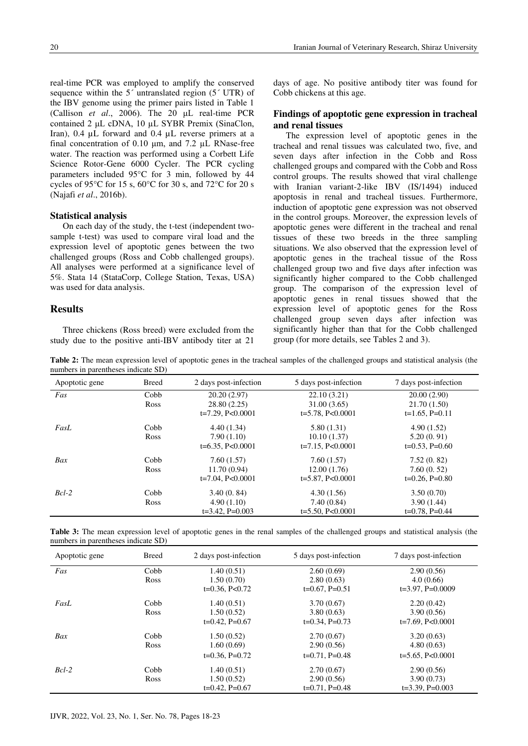real-time PCR was employed to amplify the conserved sequence within the  $5'$  untranslated region  $(5' UTR)$  of the IBV genome using the primer pairs listed in Table 1 (Callison et al., 2006). The  $20 \text{ }\mu\text{L}$  real-time PCR contained 2 µL cDNA, 10 µL SYBR Premix (SinaClon, Iran),  $0.4 \mu L$  forward and  $0.4 \mu L$  reverse primers at a final concentration of 0.10 µm, and 7.2 µL RNase-free water. The reaction was performed using a Corbett Life Science Rotor-Gene 6000 Cycler. The PCR cycling parameters included 95°C for 3 min, followed by 44 cycles of 95°C for 15 s, 60°C for 30 s, and 72°C for 20 s (Najafi et al., 2016b).

## **Statistical analysis**

On each day of the study, the t-test (independent twosample t-test) was used to compare viral load and the expression level of apoptotic genes between the two challenged groups (Ross and Cobb challenged groups). All analyses were performed at a significance level of 5%. Stata 14 (StataCorp, College Station, Texas, USA) was used for data analysis.

## **Results**

Three chickens (Ross breed) were excluded from the study due to the positive anti-IBV antibody titer at 21

days of age. No positive antibody titer was found for Cobb chickens at this age.

## Findings of apoptotic gene expression in tracheal and renal tissues

The expression level of apoptotic genes in the tracheal and renal tissues was calculated two, five, and seven days after infection in the Cobb and Ross challenged groups and compared with the Cobb and Ross control groups. The results showed that viral challenge with Iranian variant-2-like IBV (IS/1494) induced apoptosis in renal and tracheal tissues. Furthermore, induction of apoptotic gene expression was not observed in the control groups. Moreover, the expression levels of apoptotic genes were different in the tracheal and renal tissues of these two breeds in the three sampling situations. We also observed that the expression level of apoptotic genes in the tracheal tissue of the Ross challenged group two and five days after infection was significantly higher compared to the Cobb challenged group. The comparison of the expression level of apoptotic genes in renal tissues showed that the expression level of apoptotic genes for the Ross challenged group seven days after infection was significantly higher than that for the Cobb challenged group (for more details, see Tables 2 and 3).

Table 2: The mean expression level of apoptotic genes in the tracheal samples of the challenged groups and statistical analysis (the numbers in parentheses indicate SD)

| Apoptotic gene | <b>Breed</b> | 2 days post-infection | 5 days post-infection | 7 days post-infection |
|----------------|--------------|-----------------------|-----------------------|-----------------------|
| Fas            | Cobb         | 20.20(2.97)           | 22.10(3.21)           | 20.00(2.90)           |
|                | <b>Ross</b>  | 28.80(2.25)           | 31.00 (3.65)          | 21.70(1.50)           |
|                |              | $t=7.29$ , P<0.0001   | $t=5.78$ , P<0.0001   | $t=1.65$ , P=0.11     |
| FasL           | Cobb         | 4.40(1.34)            | 5.80(1.31)            | 4.90(1.52)            |
|                | <b>Ross</b>  | 7.90(1.10)            | 10.10(1.37)           | 5.20(0.91)            |
|                |              | $t=6.35$ , P<0.0001   | $t=7.15$ , P<0.0001   | $t=0.53$ , P=0.60     |
| Bax            | Cobb         | 7.60(1.57)            | 7.60(1.57)            | 7.52(0.82)            |
|                | <b>Ross</b>  | 11.70(0.94)           | 12.00(1.76)           | 7.60(0.52)            |
|                |              | $t=7.04$ , P<0.0001   | $t=5.87, P<0.0001$    | $t=0.26$ , P=0.80     |
| $Bcl-2$        | Cobb         | 3.40(0.84)            | 4.30(1.56)            | 3.50(0.70)            |
|                | <b>Ross</b>  | 4.90(1.10)            | 7.40(0.84)            | 3.90(1.44)            |
|                |              | $t=3.42$ , $P=0.003$  | $t=5.50, P<0.0001$    | $t=0.78$ , P=0.44     |

Table 3: The mean expression level of apoptotic genes in the renal samples of the challenged groups and statistical analysis (the numbers in parentheses indicate SD)

| Apoptotic gene | <b>Breed</b> | 2 days post-infection | 5 days post-infection | 7 days post-infection |
|----------------|--------------|-----------------------|-----------------------|-----------------------|
| Fas            | Cobb         | 1.40(0.51)            | 2.60(0.69)            | 2.90(0.56)            |
|                | Ross         | 1.50(0.70)            | 2.80(0.63)            | 4.0(0.66)             |
|                |              | $t=0.36$ , P<0.72     | $t=0.67$ , P=0.51     | $t=3.97, P=0.0009$    |
| FasL           | Cobb         | 1.40(0.51)            | 3.70(0.67)            | 2.20(0.42)            |
|                | Ross         | 1.50(0.52)            | 3.80(0.63)            | 3.90(0.56)            |
|                |              | $t=0.42$ , P=0.67     | $t=0.34$ , P=0.73     | $t=7.69$ , P<0.0001   |
| Bax            | Cobb         | 1.50(0.52)            | 2.70(0.67)            | 3.20(0.63)            |
|                | Ross         | 1.60(0.69)            | 2.90(0.56)            | 4.80(0.63)            |
|                |              | $t=0.36$ , P=0.72     | $t=0.71$ , P=0.48     | $t=5.65$ , P<0.0001   |
| $Bcl-2$        | Cobb         | 1.40(0.51)            | 2.70(0.67)            | 2.90(0.56)            |
|                | Ross         | 1.50(0.52)            | 2.90(0.56)            | 3.90(0.73)            |
|                |              | $t=0.42$ , P=0.67     | $t=0.71$ , P=0.48     | $t=3.39$ , $P=0.003$  |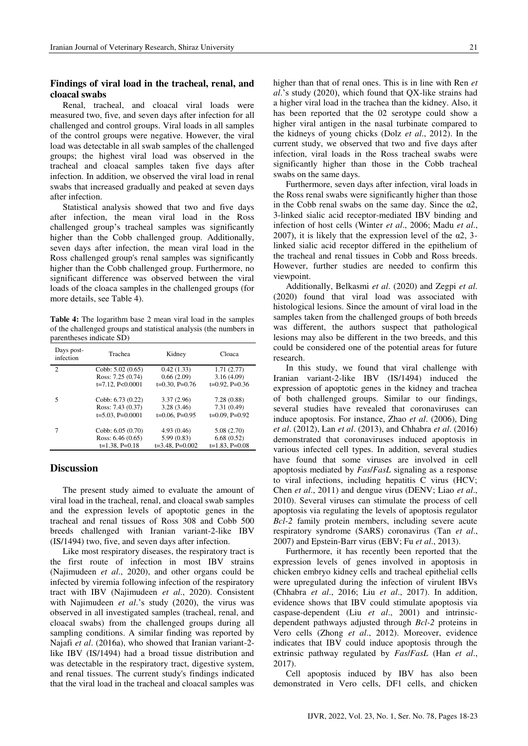## Findings of viral load in the tracheal, renal, and cloacal swabs

Renal, tracheal, and cloacal viral loads were measured two, five, and seven days after infection for all challenged and control groups. Viral loads in all samples of the control groups were negative. However, the viral load was detectable in all swab samples of the challenged groups; the highest viral load was observed in the tracheal and cloacal samples taken five days after infection. In addition, we observed the viral load in renal swabs that increased gradually and peaked at seven days after infection.

Statistical analysis showed that two and five days after infection, the mean viral load in the Ross challenged group's tracheal samples was significantly higher than the Cobb challenged group. Additionally, seven days after infection, the mean viral load in the Ross challenged group's renal samples was significantly higher than the Cobb challenged group. Furthermore, no significant difference was observed between the viral loads of the cloaca samples in the challenged groups (for more details, see Table 4).

Table 4: The logarithm base 2 mean viral load in the samples of the challenged groups and statistical analysis (the numbers in parentheses indicate SD)

| Days post-<br>infection | Trachea             | Kidney             | Cloaca            |
|-------------------------|---------------------|--------------------|-------------------|
| $\overline{2}$          | Cobb: $5.02(0.65)$  | 0.42(1.33)         | 1.71(2.77)        |
|                         | Ross: 7.25 (0.74)   | 0.66(2.09)         | 3.16(4.09)        |
|                         | $t=7.12$ , P<0.0001 | $t=0.30$ , P=0.76  | $t=0.92$ , P=0.36 |
| 5                       | Cobb: $6.73(0.22)$  | 3.37(2.96)         | 7.28(0.88)        |
|                         | Ross: 7.43 (0.37)   | 3.28(3.46)         | 7.31(0.49)        |
|                         | $t=5.03$ , P=0.0001 | $t=0.06$ , P=0.95  | $t=0.09$ , P=0.92 |
| 7                       | Cobb: $6.05(0.70)$  | 4.93(0.46)         | 5.08(2.70)        |
|                         | Ross: $6.46(0.65)$  | 5.99(0.83)         | 6.68(0.52)        |
|                         | $t=1.38$ , P=0.18   | $t=3.48$ , P=0.002 | $t=1.83$ , P=0.08 |

## **Discussion**

The present study aimed to evaluate the amount of viral load in the tracheal, renal, and cloacal swab samples and the expression levels of apoptotic genes in the tracheal and renal tissues of Ross 308 and Cobb 500 breeds challenged with Iranian variant-2-like IBV (IS/1494) two, five, and seven days after infection.

Like most respiratory diseases, the respiratory tract is the first route of infection in most IBV strains (Najimudeen et al., 2020), and other organs could be infected by viremia following infection of the respiratory tract with IBV (Najimudeen et al., 2020). Consistent with Najimudeen et al.'s study (2020), the virus was observed in all investigated samples (tracheal, renal, and cloacal swabs) from the challenged groups during all sampling conditions. A similar finding was reported by Najafi et al. (2016a), who showed that Iranian variant-2like IBV (IS/1494) had a broad tissue distribution and was detectable in the respiratory tract, digestive system, and renal tissues. The current study's findings indicated that the viral load in the tracheal and cloacal samples was higher than that of renal ones. This is in line with Ren et al.'s study (2020), which found that QX-like strains had a higher viral load in the trachea than the kidney. Also, it has been reported that the 02 serotype could show a higher viral antigen in the nasal turbinate compared to the kidneys of young chicks (Dolz *et al.*, 2012). In the current study, we observed that two and five days after infection, viral loads in the Ross tracheal swabs were significantly higher than those in the Cobb tracheal swabs on the same days.

Furthermore, seven days after infection, viral loads in the Ross renal swabs were significantly higher than those in the Cobb renal swabs on the same day. Since the  $\alpha$ 2, 3-linked sialic acid receptor-mediated IBV binding and infection of host cells (Winter et al., 2006; Madu et al., 2007), it is likely that the expression level of the  $\alpha$ 2, 3linked sialic acid receptor differed in the epithelium of the tracheal and renal tissues in Cobb and Ross breeds. However, further studies are needed to confirm this viewpoint.

Additionally, Belkasmi et al. (2020) and Zegpi et al. (2020) found that viral load was associated with histological lesions. Since the amount of viral load in the samples taken from the challenged groups of both breeds was different, the authors suspect that pathological lesions may also be different in the two breeds, and this could be considered one of the potential areas for future research

In this study, we found that viral challenge with Iranian variant-2-like IBV (IS/1494) induced the expression of apoptotic genes in the kidney and trachea of both challenged groups. Similar to our findings, several studies have revealed that coronaviruses can induce apoptosis. For instance, Zhao et al. (2006), Ding et al. (2012), Lan et al. (2013), and Chhabra et al. (2016) demonstrated that coronaviruses induced apoptosis in various infected cell types. In addition, several studies have found that some viruses are involved in cell apoptosis mediated by *FaslFasL* signaling as a response to viral infections, including hepatitis C virus (HCV; Chen et al., 2011) and dengue virus (DENV; Liao et al., 2010). Several viruses can stimulate the process of cell apoptosis via regulating the levels of apoptosis regulator Bcl-2 family protein members, including severe acute respiratory syndrome (SARS) coronavirus (Tan et al., 2007) and Epstein-Barr virus (EBV; Fu et al., 2013).

Furthermore, it has recently been reported that the expression levels of genes involved in apoptosis in chicken embryo kidney cells and tracheal epithelial cells were upregulated during the infection of virulent IBVs (Chhabra et al., 2016; Liu et al., 2017). In addition, evidence shows that IBV could stimulate apoptosis via caspase-dependent (Liu et al., 2001) and intrinsicdependent pathways adjusted through Bcl-2 proteins in Vero cells (Zhong et al., 2012). Moreover, evidence indicates that IBV could induce apoptosis through the extrinsic pathway regulated by Fas/FasL (Han et al.,  $2017$ ).

Cell apoptosis induced by IBV has also been demonstrated in Vero cells, DF1 cells, and chicken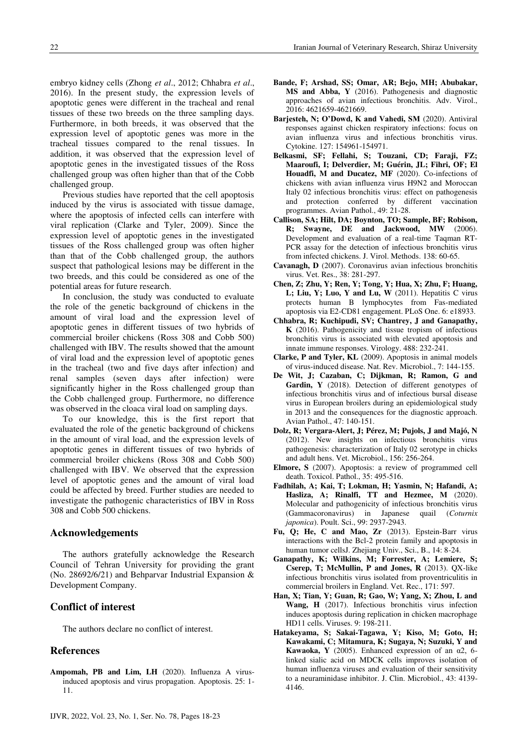embryo kidney cells (Zhong et al., 2012; Chhabra et al., 2016). In the present study, the expression levels of apoptotic genes were different in the tracheal and renal tissues of these two breeds on the three sampling days. Furthermore, in both breeds, it was observed that the expression level of apoptotic genes was more in the tracheal tissues compared to the renal tissues. In addition, it was observed that the expression level of apoptotic genes in the investigated tissues of the Ross challenged group was often higher than that of the Cobb challenged group.

Previous studies have reported that the cell apoptosis induced by the virus is associated with tissue damage, where the apoptosis of infected cells can interfere with viral replication (Clarke and Tyler, 2009). Since the expression level of apoptotic genes in the investigated tissues of the Ross challenged group was often higher than that of the Cobb challenged group, the authors suspect that pathological lesions may be different in the two breeds, and this could be considered as one of the potential areas for future research.

In conclusion, the study was conducted to evaluate the role of the genetic background of chickens in the amount of viral load and the expression level of apoptotic genes in different tissues of two hybrids of commercial broiler chickens (Ross 308 and Cobb 500) challenged with IBV. The results showed that the amount of viral load and the expression level of apoptotic genes in the tracheal (two and five days after infection) and renal samples (seven days after infection) were significantly higher in the Ross challenged group than the Cobb challenged group. Furthermore, no difference was observed in the cloaca viral load on sampling days.

To our knowledge, this is the first report that evaluated the role of the genetic background of chickens in the amount of viral load, and the expression levels of apoptotic genes in different tissues of two hybrids of commercial broiler chickens (Ross 308 and Cobb 500) challenged with IBV. We observed that the expression level of apoptotic genes and the amount of viral load could be affected by breed. Further studies are needed to investigate the pathogenic characteristics of IBV in Ross 308 and Cobb 500 chickens.

## **Acknowledgements**

The authors gratefully acknowledge the Research Council of Tehran University for providing the grant (No. 28692/6/21) and Behparvar Industrial Expansion  $\&$ Development Company.

## **Conflict of interest**

The authors declare no conflict of interest.

### **References**

Ampomah, PB and Lim, LH (2020). Influenza A virusinduced apoptosis and virus propagation. Apoptosis. 25: 1- $11.$ 

- Bande, F; Arshad, SS; Omar, AR; Bejo, MH; Abubakar, MS and Abba, Y (2016). Pathogenesis and diagnostic approaches of avian infectious bronchitis. Adv. Virol., 2016: 4621659-4621669.
- Barjesteh, N; O'Dowd, K and Vahedi, SM (2020). Antiviral responses against chicken respiratory infections: focus on avian influenza virus and infectious bronchitis virus. Cytokine. 127: 154961-154971.
- Belkasmi, SF; Fellahi, S; Touzani, CD; Faraji, FZ; Maaroufi, I; Delverdier, M; Guérin, JL; Fihri, OF; El Houadfi, M and Ducatez, MF (2020). Co-infections of chickens with avian influenza virus H9N2 and Moroccan Italy 02 infectious bronchitis virus: effect on pathogenesis and protection conferred by different vaccination programmes. Avian Pathol., 49: 21-28.
- Callison, SA; Hilt, DA; Boynton, TO; Sample, BF; Robison, R; Swayne, DE and Jackwood, MW (2006). Development and evaluation of a real-time Taqman RT-PCR assay for the detection of infectious bronchitis virus from infected chickens. J. Virol. Methods. 138: 60-65.
- Cavanagh, D (2007). Coronavirus avian infectious bronchitis virus. Vet. Res., 38: 281-297.
- Chen, Z; Zhu, Y; Ren, Y; Tong, Y; Hua, X; Zhu, F; Huang, L; Liu, Y; Luo, Y and Lu, W (2011). Hepatitis C virus protects human B lymphocytes from Fas-mediated apoptosis via E2-CD81 engagement. PLoS One. 6: e18933.
- Chhabra, R; Kuchipudi, SV; Chantrey, J and Ganapathy,  $\bf{K}$  (2016). Pathogenicity and tissue tropism of infectious bronchitis virus is associated with elevated apoptosis and innate immune responses. Virology. 488: 232-241.
- Clarke, P and Tyler, KL (2009). Apoptosis in animal models of virus-induced disease. Nat. Rev. Microbiol., 7: 144-155.
- De Wit, J; Cazaban, C; Dijkman, R; Ramon, G and Gardin, Y (2018). Detection of different genotypes of infectious bronchitis virus and of infectious bursal disease virus in European broilers during an epidemiological study in 2013 and the consequences for the diagnostic approach. Avian Pathol., 47: 140-151.
- Dolz, R; Vergara-Alert, J; Pérez, M; Pujols, J and Majó, N (2012). New insights on infectious bronchitis virus pathogenesis: characterization of Italy 02 serotype in chicks and adult hens. Vet. Microbiol., 156: 256-264.
- Elmore, S (2007). Apoptosis: a review of programmed cell death. Toxicol. Pathol., 35: 495-516.
- Fadhilah, A; Kai, T; Lokman, H; Yasmin, N; Hafandi, A; Hasliza, A; Rinalfi, TT and Hezmee, M (2020). Molecular and pathogenicity of infectious bronchitis virus (Gammacoronavirus) in Japanese quail (Coturnix japonica). Poult. Sci., 99: 2937-2943.
- Fu, Q; He, C and Mao, Zr (2013). Epstein-Barr virus interactions with the Bcl-2 protein family and apoptosis in human tumor cellsJ. Zhejiang Univ., Sci., B., 14: 8-24.
- Ganapathy, K; Wilkins, M; Forrester, A; Lemiere, S; Cserep, T; McMullin, P and Jones, R (2013). QX-like infectious bronchitis virus isolated from proventriculitis in commercial broilers in England. Vet. Rec., 171: 597.
- Han, X; Tian, Y; Guan, R; Gao, W; Yang, X; Zhou, L and Wang, H (2017). Infectious bronchitis virus infection induces apoptosis during replication in chicken macrophage HD11 cells. Viruses. 9: 198-211.
- Hatakeyama, S; Sakai-Tagawa, Y; Kiso, M; Goto, H; Kawakami, C; Mitamura, K; Sugaya, N; Suzuki, Y and Kawaoka, Y (2005). Enhanced expression of an  $\alpha$ 2, 6linked sialic acid on MDCK cells improves isolation of human influenza viruses and evaluation of their sensitivity to a neuraminidase inhibitor. J. Clin. Microbiol., 43: 4139-4146